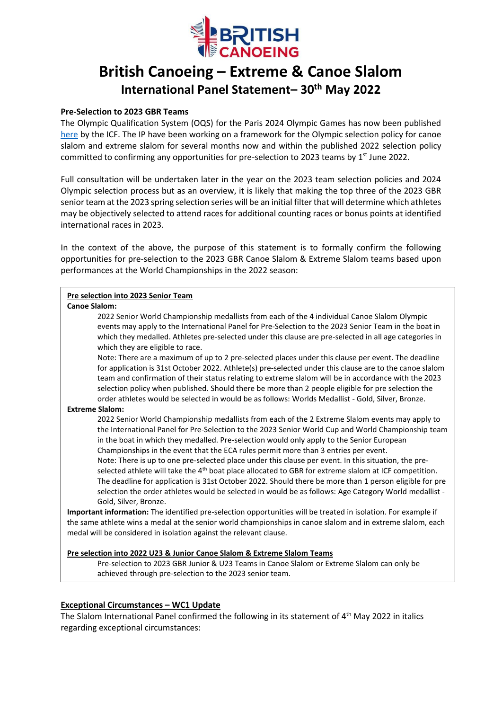

# **British Canoeing – Extreme & Canoe Slalom International Panel Statement– 30 th May 2022**

## **Pre-Selection to 2023 GBR Teams**

The Olympic Qualification System (OQS) for the Paris 2024 Olympic Games has now been published [here](https://www.canoeicf.com/news/how-get-your-ticket-compete-paris-2024) by the ICF. The IP have been working on a framework for the Olympic selection policy for canoe slalom and extreme slalom for several months now and within the published 2022 selection policy committed to confirming any opportunities for pre-selection to 2023 teams by  $1<sup>st</sup>$  June 2022.

Full consultation will be undertaken later in the year on the 2023 team selection policies and 2024 Olympic selection process but as an overview, it is likely that making the top three of the 2023 GBR senior team at the 2023 spring selection series will be an initial filter that will determine which athletes may be objectively selected to attend races for additional counting races or bonus points at identified international races in 2023.

In the context of the above, the purpose of this statement is to formally confirm the following opportunities for pre-selection to the 2023 GBR Canoe Slalom & Extreme Slalom teams based upon performances at the World Championships in the 2022 season:

## **Pre selection into 2023 Senior Team**

**Canoe Slalom:**

2022 Senior World Championship medallists from each of the 4 individual Canoe Slalom Olympic events may apply to the International Panel for Pre-Selection to the 2023 Senior Team in the boat in which they medalled. Athletes pre-selected under this clause are pre-selected in all age categories in which they are eligible to race.

Note: There are a maximum of up to 2 pre-selected places under this clause per event. The deadline for application is 31st October 2022. Athlete(s) pre-selected under this clause are to the canoe slalom team and confirmation of their status relating to extreme slalom will be in accordance with the 2023 selection policy when published. Should there be more than 2 people eligible for pre selection the order athletes would be selected in would be as follows: Worlds Medallist - Gold, Silver, Bronze.

#### **Extreme Slalom:**

2022 Senior World Championship medallists from each of the 2 Extreme Slalom events may apply to the International Panel for Pre-Selection to the 2023 Senior World Cup and World Championship team in the boat in which they medalled. Pre-selection would only apply to the Senior European Championships in the event that the ECA rules permit more than 3 entries per event.

Note: There is up to one pre-selected place under this clause per event. In this situation, the preselected athlete will take the 4<sup>th</sup> boat place allocated to GBR for extreme slalom at ICF competition. The deadline for application is 31st October 2022. Should there be more than 1 person eligible for pre selection the order athletes would be selected in would be as follows: Age Category World medallist - Gold, Silver, Bronze.

**Important information:** The identified pre-selection opportunities will be treated in isolation. For example if the same athlete wins a medal at the senior world championships in canoe slalom and in extreme slalom, each medal will be considered in isolation against the relevant clause.

#### **Pre selection into 2022 U23 & Junior Canoe Slalom & Extreme Slalom Teams**

Pre-selection to 2023 GBR Junior & U23 Teams in Canoe Slalom or Extreme Slalom can only be achieved through pre-selection to the 2023 senior team.

## **Exceptional Circumstances – WC1 Update**

The Slalom International Panel confirmed the following in its statement of 4<sup>th</sup> May 2022 in italics regarding exceptional circumstances: